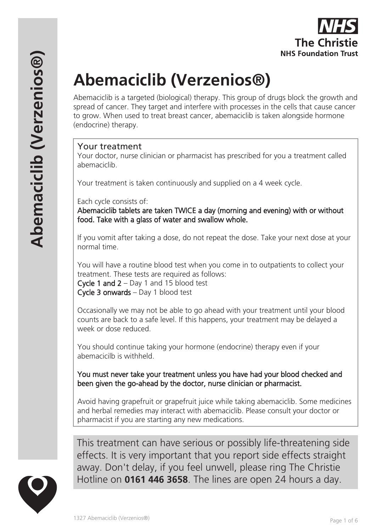

# **Abemaciclib (Verzenios®)**

Abemaciclib is a targeted (biological) therapy. This group of drugs block the growth and spread of cancer. They target and interfere with processes in the cells that cause cancer to grow. When used to treat breast cancer, abemaciclib is taken alongside hormone (endocrine) therapy.

#### Your treatment

Your doctor, nurse clinician or pharmacist has prescribed for you a treatment called abemaciclib.

Your treatment is taken continuously and supplied on a 4 week cycle.

Each cycle consists of:

Abemaciclib tablets are taken TWICE a day (morning and evening) with or without food. Take with a glass of water and swallow whole.

If you vomit after taking a dose, do not repeat the dose. Take your next dose at your normal time.

You will have a routine blood test when you come in to outpatients to collect your treatment. These tests are required as follows: Cycle 1 and 2 – Day 1 and 15 blood test Cycle 3 onwards – Day 1 blood test

Occasionally we may not be able to go ahead with your treatment until your blood counts are back to a safe level. If this happens, your treatment may be delayed a week or dose reduced.

You should continue taking your hormone (endocrine) therapy even if your abemacicilb is withheld.

You must never take your treatment unless you have had your blood checked and been given the go-ahead by the doctor, nurse clinician or pharmacist.

Avoid having grapefruit or grapefruit juice while taking abemaciclib. Some medicines and herbal remedies may interact with abemaciclib. Please consult your doctor or pharmacist if you are starting any new medications.

This treatment can have serious or possibly life-threatening side effects. It is very important that you report side effects straight away. Don't delay, if you feel unwell, please ring The Christie Hotline on **0161 446 3658**. The lines are open 24 hours a day.

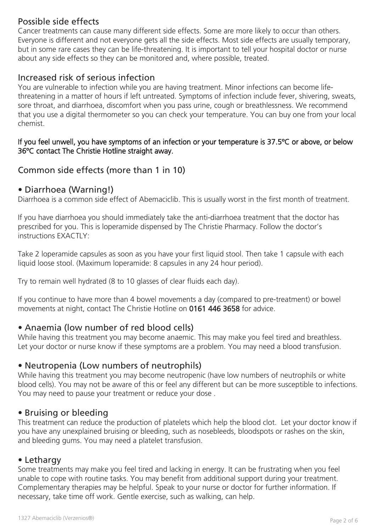# Possible side effects

Cancer treatments can cause many different side effects. Some are more likely to occur than others. Everyone is different and not everyone gets all the side effects. Most side effects are usually temporary, but in some rare cases they can be life-threatening. It is important to tell your hospital doctor or nurse about any side effects so they can be monitored and, where possible, treated.

## Increased risk of serious infection

You are vulnerable to infection while you are having treatment. Minor infections can become lifethreatening in a matter of hours if left untreated. Symptoms of infection include fever, shivering, sweats, sore throat, and diarrhoea, discomfort when you pass urine, cough or breathlessness. We recommend that you use a digital thermometer so you can check your temperature. You can buy one from your local chemist.

#### If you feel unwell, you have symptoms of an infection or your temperature is 37.5ºC or above, or below 36ºC contact The Christie Hotline straight away.

# Common side effects (more than 1 in 10)

#### • Diarrhoea (Warning!)

Diarrhoea is a common side effect of Abemaciclib. This is usually worst in the first month of treatment.

If you have diarrhoea you should immediately take the anti-diarrhoea treatment that the doctor has prescribed for you. This is loperamide dispensed by The Christie Pharmacy. Follow the doctor's instructions EXACTLY:

Take 2 loperamide capsules as soon as you have your first liquid stool. Then take 1 capsule with each liquid loose stool. (Maximum loperamide: 8 capsules in any 24 hour period).

Try to remain well hydrated (8 to 10 glasses of clear fluids each day).

If you continue to have more than 4 bowel movements a day (compared to pre-treatment) or bowel movements at night, contact The Christie Hotline on 0161 446 3658 for advice.

## • Anaemia (low number of red blood cells)

While having this treatment you may become anaemic. This may make you feel tired and breathless. Let your doctor or nurse know if these symptoms are a problem. You may need a blood transfusion.

## • Neutropenia (Low numbers of neutrophils)

While having this treatment you may become neutropenic (have low numbers of neutrophils or white blood cells). You may not be aware of this or feel any different but can be more susceptible to infections. You may need to pause your treatment or reduce your dose .

## • Bruising or bleeding

This treatment can reduce the production of platelets which help the blood clot. Let your doctor know if you have any unexplained bruising or bleeding, such as nosebleeds, bloodspots or rashes on the skin, and bleeding gums. You may need a platelet transfusion.

#### • Lethargy

Some treatments may make you feel tired and lacking in energy. It can be frustrating when you feel unable to cope with routine tasks. You may benefit from additional support during your treatment. Complementary therapies may be helpful. Speak to your nurse or doctor for further information. If necessary, take time off work. Gentle exercise, such as walking, can help.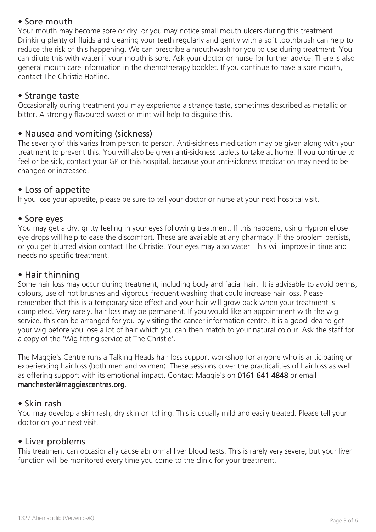# • Sore mouth

Your mouth may become sore or dry, or you may notice small mouth ulcers during this treatment. Drinking plenty of fluids and cleaning your teeth regularly and gently with a soft toothbrush can help to reduce the risk of this happening. We can prescribe a mouthwash for you to use during treatment. You can dilute this with water if your mouth is sore. Ask your doctor or nurse for further advice. There is also general mouth care information in the chemotherapy booklet. If you continue to have a sore mouth, contact The Christie Hotline.

## • Strange taste

Occasionally during treatment you may experience a strange taste, sometimes described as metallic or bitter. A strongly flavoured sweet or mint will help to disguise this.

# • Nausea and vomiting (sickness)

The severity of this varies from person to person. Anti-sickness medication may be given along with your treatment to prevent this. You will also be given anti-sickness tablets to take at home. If you continue to feel or be sick, contact your GP or this hospital, because your anti-sickness medication may need to be changed or increased.

## • Loss of appetite

If you lose your appetite, please be sure to tell your doctor or nurse at your next hospital visit.

# • Sore eyes

You may get a dry, gritty feeling in your eyes following treatment. If this happens, using Hypromellose eye drops will help to ease the discomfort. These are available at any pharmacy. If the problem persists, or you get blurred vision contact The Christie. Your eyes may also water. This will improve in time and needs no specific treatment.

## • Hair thinning

Some hair loss may occur during treatment, including body and facial hair. It is advisable to avoid perms, colours, use of hot brushes and vigorous frequent washing that could increase hair loss. Please remember that this is a temporary side effect and your hair will grow back when your treatment is completed. Very rarely, hair loss may be permanent. If you would like an appointment with the wig service, this can be arranged for you by visiting the cancer information centre. It is a good idea to get your wig before you lose a lot of hair which you can then match to your natural colour. Ask the staff for a copy of the 'Wig fitting service at The Christie'.

The Maggie's Centre runs a Talking Heads hair loss support workshop for anyone who is anticipating or experiencing hair loss (both men and women). These sessions cover the practicalities of hair loss as well as offering support with its emotional impact. Contact Maggie's on 0161 641 4848 or email manchester@maggiescentres.org.

## • Skin rash

You may develop a skin rash, dry skin or itching. This is usually mild and easily treated. Please tell your doctor on your next visit.

## • Liver problems

This treatment can occasionally cause abnormal liver blood tests. This is rarely very severe, but your liver function will be monitored every time you come to the clinic for your treatment.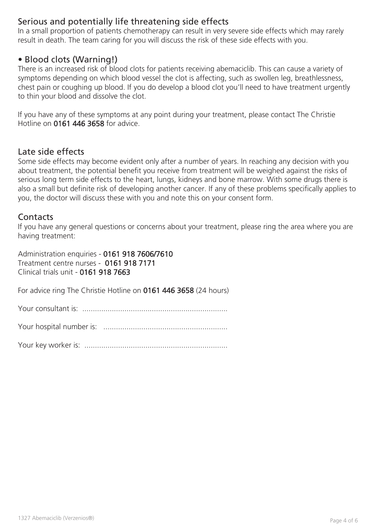# Serious and potentially life threatening side effects

In a small proportion of patients chemotherapy can result in very severe side effects which may rarely result in death. The team caring for you will discuss the risk of these side effects with you.

## • Blood clots (Warning!)

There is an increased risk of blood clots for patients receiving abemaciclib. This can cause a variety of symptoms depending on which blood vessel the clot is affecting, such as swollen leg, breathlessness, chest pain or coughing up blood. If you do develop a blood clot you'll need to have treatment urgently to thin your blood and dissolve the clot.

If you have any of these symptoms at any point during your treatment, please contact The Christie Hotline on 0161 446 3658 for advice.

#### Late side effects

Some side effects may become evident only after a number of years. In reaching any decision with you about treatment, the potential benefit you receive from treatment will be weighed against the risks of serious long term side effects to the heart, lungs, kidneys and bone marrow. With some drugs there is also a small but definite risk of developing another cancer. If any of these problems specifically applies to you, the doctor will discuss these with you and note this on your consent form.

#### **Contacts**

If you have any general questions or concerns about your treatment, please ring the area where you are having treatment:

Administration enquiries - 0161 918 7606/7610 Treatment centre nurses - 0161 918 7171 Clinical trials unit - 0161 918 7663

For advice ring The Christie Hotline on 0161 446 3658 (24 hours)

Your consultant is: .....................................................................

Your hospital number is: ...........................................................

Your key worker is: ....................................................................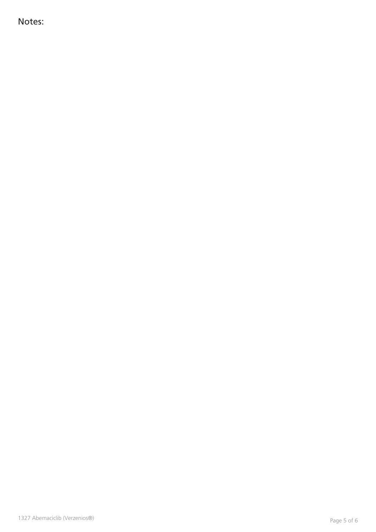Notes: